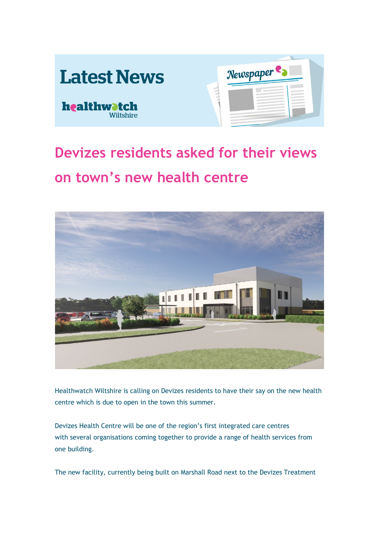

## **Devizes residents asked for their views on town's new health centre**



Healthwatch Wiltshire is calling on Devizes residents to have their say on the new health centre which is due to open in the town this summer.

Devizes Health Centre will be one of the region's first integrated care centres with several organisations coming together to provide a range of health services from one building.

The new facility, currently being built on Marshall Road next to the Devizes Treatment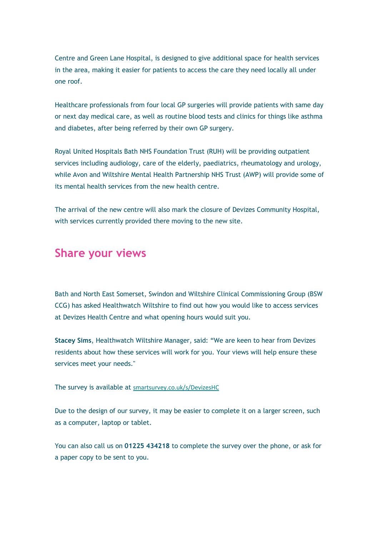Centre and Green Lane Hospital, is designed to give additional space for health services in the area, making it easier for patients to access the care they need locally all under one roof.

Healthcare professionals from four local GP surgeries will provide patients with same day or next day medical care, as well as routine blood tests and clinics for things like asthma and diabetes, after being referred by their own GP surgery.

Royal United Hospitals Bath NHS Foundation Trust (RUH) will be providing outpatient services including audiology, care of the elderly, paediatrics, rheumatology and urology, while Avon and Wiltshire Mental Health Partnership NHS Trust (AWP) will provide some of its mental health services from the new health centre.

The arrival of the new centre will also mark the closure of Devizes Community Hospital, with services currently provided there moving to the new site.

## **Share your views**

Bath and North East Somerset, Swindon and Wiltshire Clinical Commissioning Group (BSW CCG) has asked Healthwatch Wiltshire to find out how you would like to access services at Devizes Health Centre and what opening hours would suit you.

**Stacey Sims**, Healthwatch Wiltshire Manager, said: "We are keen to hear from Devizes residents about how these services will work for you. Your views will help ensure these services meet your needs."

The survey is available at [smartsurvey.co.uk/s/DevizesHC](https://www.smartsurvey.co.uk/s/DevizesHC/)

Due to the design of our survey, it may be easier to complete it on a larger screen, such as a computer, laptop or tablet.

You can also call us on **01225 434218** to complete the survey over the phone, or ask for a paper copy to be sent to you.